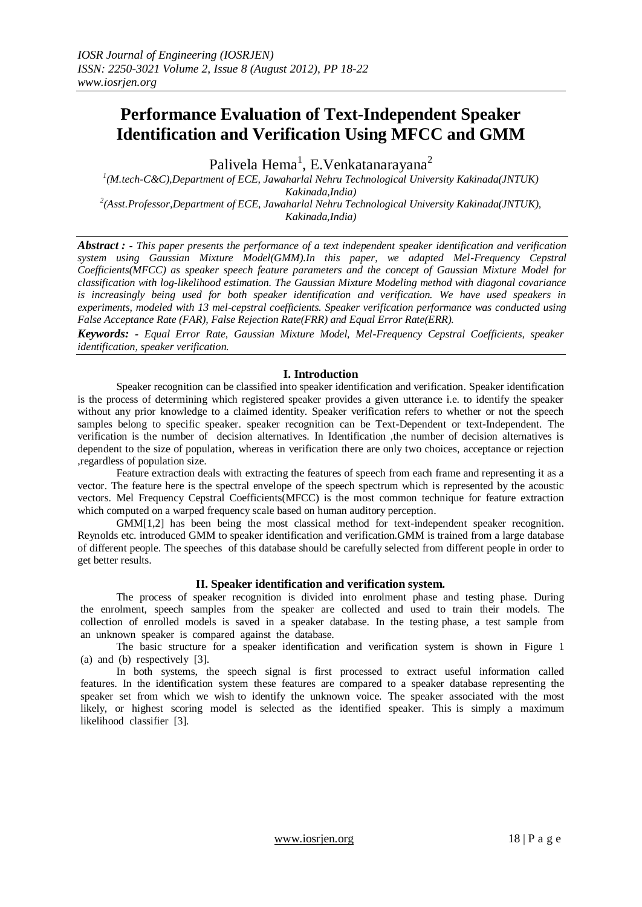# **Performance Evaluation of Text-Independent Speaker Identification and Verification Using MFCC and GMM**

Palivela Hema $^{\rm l}$ , E.Venkatanarayana $^{\rm 2}$ 

*1 (M.tech-C&C),Department of ECE, Jawaharlal Nehru Technological University Kakinada(JNTUK) Kakinada,India) 2 (Asst.Professor,Department of ECE, Jawaharlal Nehru Technological University Kakinada(JNTUK), Kakinada,India)*

*Abstract : - This paper presents the performance of a text independent speaker identification and verification system using Gaussian Mixture Model(GMM).In this paper, we adapted Mel-Frequency Cepstral Coefficients(MFCC) as speaker speech feature parameters and the concept of Gaussian Mixture Model for classification with log-likelihood estimation. The Gaussian Mixture Modeling method with diagonal covariance is increasingly being used for both speaker identification and verification. We have used speakers in experiments, modeled with 13 mel-cepstral coefficients. Speaker verification performance was conducted using False Acceptance Rate (FAR), False Rejection Rate(FRR) and Equal Error Rate(ERR).*

*Keywords: - Equal Error Rate, Gaussian Mixture Model, Mel-Frequency Cepstral Coefficients, speaker identification, speaker verification.*

## **I. Introduction**

Speaker recognition can be classified into speaker identification and verification. Speaker identification is the process of determining which registered speaker provides a given utterance i.e. to identify the speaker without any prior knowledge to a claimed identity. Speaker verification refers to whether or not the speech samples belong to specific speaker. speaker recognition can be Text-Dependent or text-Independent. The verification is the number of decision alternatives. In Identification ,the number of decision alternatives is dependent to the size of population, whereas in verification there are only two choices, acceptance or rejection ,regardless of population size.

Feature extraction deals with extracting the features of speech from each frame and representing it as a vector. The feature here is the spectral envelope of the speech spectrum which is represented by the acoustic vectors. Mel Frequency Cepstral Coefficients(MFCC) is the most common technique for feature extraction which computed on a warped frequency scale based on human auditory perception.

GMM[1,2] has been being the most classical method for text-independent speaker recognition. Reynolds etc. introduced GMM to speaker identification and verification.GMM is trained from a large database of different people. The speeches of this database should be carefully selected from different people in order to get better results.

## **II. Speaker identification and verification system.**

The process of speaker recognition is divided into enrolment phase and testing phase. During the enrolment, speech samples from the speaker are collected and used to train their models. The collection of enrolled models is saved in a speaker database. In the testing phase, a test sample from an unknown speaker is compared against the database.

The basic structure for a speaker identification and verification system is shown in Figure 1 (a) and (b) respectively [3].

In both systems, the speech signal is first processed to extract useful information called features. In the identification system these features are compared to a speaker database representing the speaker set from which we wish to identify the unknown voice. The speaker associated with the most likely, or highest scoring model is selected as the identified speaker. This is simply a maximum likelihood classifier [3].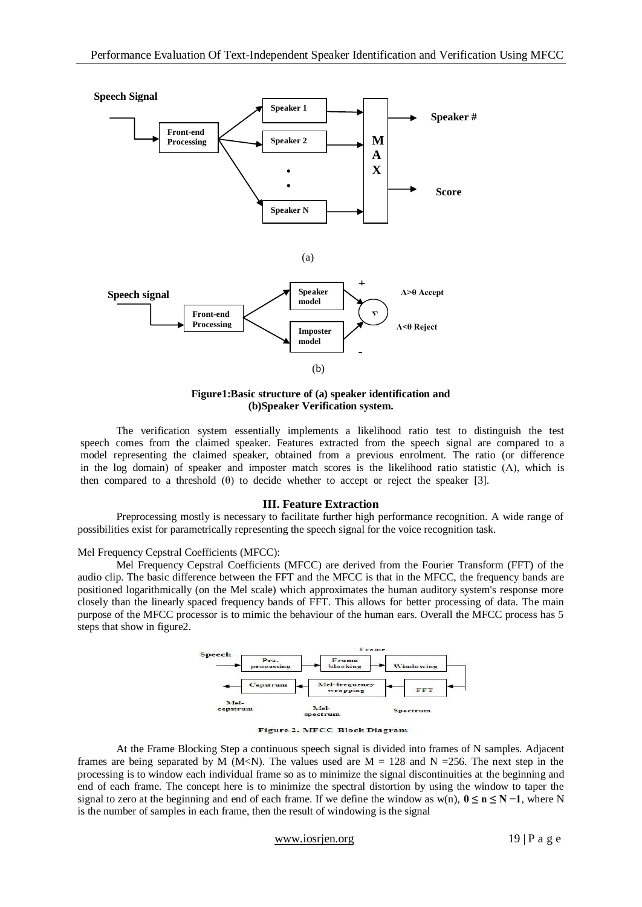

**Figure1:Basic structure of (a) speaker identification and (b)Speaker Verification system.**

The verification system essentially implements a likelihood ratio test to distinguish the test speech comes from the claimed speaker. Features extracted from the speech signal are compared to a model representing the claimed speaker, obtained from a previous enrolment. The ratio (or difference in the log domain) of speaker and imposter match scores is the likelihood ratio statistic  $(\Lambda)$ , which is then compared to a threshold  $(\theta)$  to decide whether to accept or reject the speaker [3].

## **III. Feature Extraction**

Preprocessing mostly is necessary to facilitate further high performance recognition. A wide range of possibilities exist for parametrically representing the speech signal for the voice recognition task.

#### Mel Frequency Cepstral Coefficients (MFCC):

Mel Frequency Cepstral Coefficients (MFCC) are derived from the Fourier Transform (FFT) of the audio clip. The basic difference between the FFT and the MFCC is that in the MFCC, the frequency bands are positioned logarithmically (on the Mel scale) which approximates the human auditory system's response more closely than the linearly spaced frequency bands of FFT. This allows for better processing of data. The main purpose of the MFCC processor is to mimic the behaviour of the human ears. Overall the MFCC process has 5 steps that show in figure2.



Figure 2. MFCC Block Diagram

At the Frame Blocking Step a continuous speech signal is divided into frames of N samples. Adjacent frames are being separated by M (M<N). The values used are  $M = 128$  and N = 256. The next step in the processing is to window each individual frame so as to minimize the signal discontinuities at the beginning and end of each frame. The concept here is to minimize the spectral distortion by using the window to taper the signal to zero at the beginning and end of each frame. If we define the window as w(n),  $0 \le n \le N - 1$ , where N is the number of samples in each frame, then the result of windowing is the signal

www.iosrjen.org  $19 | P a g e$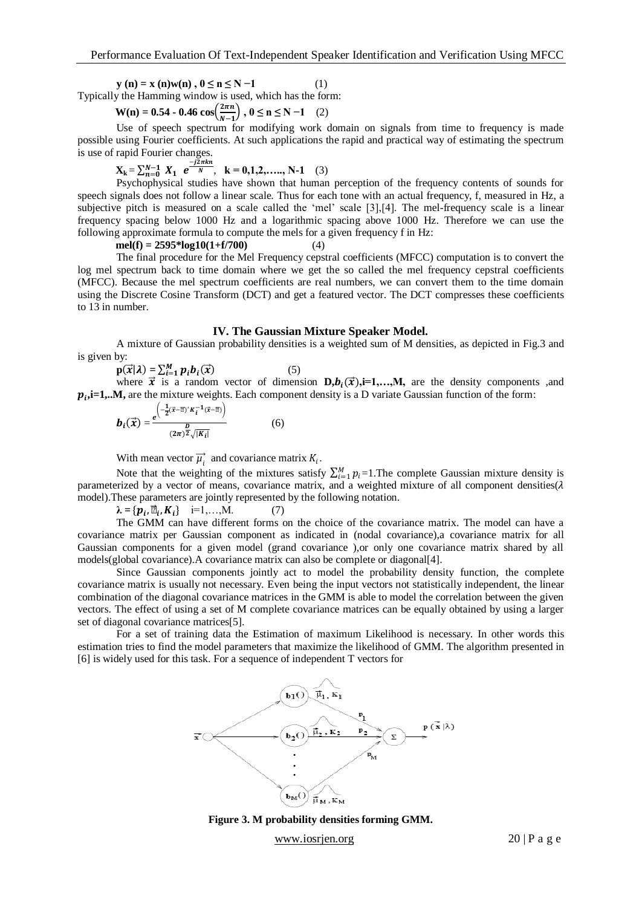$y (n) = x (n)w(n), 0 \le n \le N - 1$  (1) Typically the Hamming window is used, which has the form:

$$
W(n) = 0.54 - 0.46 \cos\left(\frac{2\pi n}{N-1}\right), 0 \le n \le N-1 \quad (2)
$$

Use of speech spectrum for modifying work domain on signals from time to frequency is made possible using Fourier coefficients. At such applications the rapid and practical way of estimating the spectrum is use of rapid Fourier changes.

$$
X_k = \sum_{n=0}^{N-1} X_1 e^{\frac{-j2\pi kn}{N}}, \quad k = 0, 1, 2, \dots, N-1 \quad (3)
$$

Psychophysical studies have shown that human perception of the frequency contents of sounds for speech signals does not follow a linear scale. Thus for each tone with an actual frequency, f, measured in Hz, a subjective pitch is measured on a scale called the 'mel' scale [3], [4]. The mel-frequency scale is a linear frequency spacing below 1000 Hz and a logarithmic spacing above 1000 Hz. Therefore we can use the following approximate formula to compute the mels for a given frequency f in Hz:

 $mel(f) = 2595 * log 10(1+f/700)$  (4)

The final procedure for the Mel Frequency cepstral coefficients (MFCC) computation is to convert the log mel spectrum back to time domain where we get the so called the mel frequency cepstral coefficients (MFCC). Because the mel spectrum coefficients are real numbers, we can convert them to the time domain using the Discrete Cosine Transform (DCT) and get a featured vector. The DCT compresses these coefficients to 13 in number.

### **IV. The Gaussian Mixture Speaker Model.**

A mixture of Gaussian probability densities is a weighted sum of M densities, as depicted in Fig.3 and is given by:

 $\mathbf{p}(\vec{x}|\lambda) = \sum_{i=1}^{M} p_i b_i(\vec{x})$  (5) where  $\vec{x}$  is a random vector of dimension  $D, b_i(\vec{x}), i=1,...,M$ , are the density components ,and  $p_i$ **,i=1,..M**, are the mixture weights. Each component density is a D variate Gaussian function of the form:

$$
\boldsymbol{b}_{i}(\vec{x}) = \frac{e^{\left(-\frac{1}{2}(\vec{x}-\vec{p})'K_{i}^{-1}(\vec{x}-\vec{p})\right)}}{(2\pi)^{\frac{D}{2}}\sqrt{|K_{i}|}}
$$
(6)

With mean vector  $\vec{\mu}_i$  and covariance matrix  $K_i$ .

Note that the weighting of the mixtures satisfy  $\sum_{i=1}^{M} p_i = 1$ . The complete Gaussian mixture density is parameterized by a vector of means, covariance matrix, and a weighted mixture of all component densities( $\lambda$ model).These parameters are jointly represented by the following notation.

 $\lambda = {\bf p}_i, \vec{\mu}_i, K_i$ } i=1,...,M. (7)

The GMM can have different forms on the choice of the covariance matrix. The model can have a covariance matrix per Gaussian component as indicated in (nodal covariance),a covariance matrix for all Gaussian components for a given model (grand covariance ),or only one covariance matrix shared by all models(global covariance).A covariance matrix can also be complete or diagonal[4].

Since Gaussian components jointly act to model the probability density function, the complete covariance matrix is usually not necessary. Even being the input vectors not statistically independent, the linear combination of the diagonal covariance matrices in the GMM is able to model the correlation between the given vectors. The effect of using a set of M complete covariance matrices can be equally obtained by using a larger set of diagonal covariance matrices[5].

For a set of training data the Estimation of maximum Likelihood is necessary. In other words this estimation tries to find the model parameters that maximize the likelihood of GMM. The algorithm presented in [6] is widely used for this task. For a sequence of independent T vectors for





www.iosrjen.org 20 | P a g e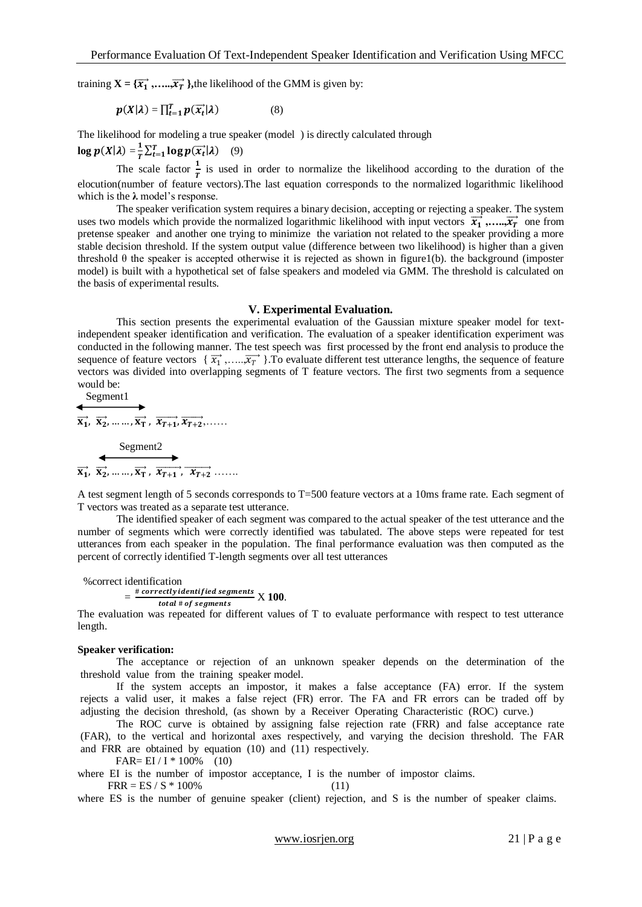training  $X = {\overrightarrow{x_1}, \ldots, \overrightarrow{x_T}}$ , the likelihood of the GMM is given by:

$$
p(X|\lambda) = \prod_{t=1}^{T} p(\overrightarrow{x_t}|\lambda)
$$
 (8)

The likelihood for modeling a true speaker (model ) is directly calculated through

 $log p(X|\lambda) = \frac{1}{r}$  $\frac{1}{T} \sum_{t=1}^{T} \log p(\vec{x_t} | \lambda)$  (9)

The scale factor  $\frac{1}{T}$  is used in order to normalize the likelihood according to the duration of the elocution(number of feature vectors).The last equation corresponds to the normalized logarithmic likelihood which is the  $\lambda$  model's response.

The speaker verification system requires a binary decision, accepting or rejecting a speaker. The system uses two models which provide the normalized logarithmic likelihood with input vectors  $\vec{x_1}$ ,..., $\vec{x_7}$  one from pretense speaker and another one trying to minimize the variation not related to the speaker providing a more stable decision threshold. If the system output value (difference between two likelihood) is higher than a given threshold θ the speaker is accepted otherwise it is rejected as shown in figure1(b). the background (imposter model) is built with a hypothetical set of false speakers and modeled via GMM. The threshold is calculated on the basis of experimental results.

#### **V. Experimental Evaluation.**

 This section presents the experimental evaluation of the Gaussian mixture speaker model for textindependent speaker identification and verification. The evaluation of a speaker identification experiment was conducted in the following manner. The test speech was first processed by the front end analysis to produce the sequence of feature vectors  $\{\vec{x_1}, \dots, \vec{x_n}\}$ . To evaluate different test utterance lengths, the sequence of feature vectors was divided into overlapping segments of T feature vectors. The first two segments from a sequence would be:<br>Soment

$$
\begin{array}{c}\n\text{Segment1} \\
\hline\n\overrightarrow{x_1}, \overrightarrow{x_2}, \dots, \overrightarrow{x_T}, \overrightarrow{x_{T+1}}, \overrightarrow{x_{T+2}}, \dots, \\
\hline\n\text{Segment2} \\
\overrightarrow{x_1}, \overrightarrow{x_2}, \dots, \overrightarrow{x_T}, \overrightarrow{x_{T+1}}, \overrightarrow{x_{T+2}}, \dots\n\end{array}
$$

A test segment length of 5 seconds corresponds to T=500 feature vectors at a 10ms frame rate. Each segment of T vectors was treated as a separate test utterance.

The identified speaker of each segment was compared to the actual speaker of the test utterance and the number of segments which were correctly identified was tabulated. The above steps were repeated for test utterances from each speaker in the population. The final performance evaluation was then computed as the percent of correctly identified T-length segments over all test utterances

#### %correct identification

#### $=\frac{\text{\# correctly identified segments}}{2} \times 100.$ total # of segments

The evaluation was repeated for different values of T to evaluate performance with respect to test utterance length.

#### **Speaker verification:**

The acceptance or rejection of an unknown speaker depends on the determination of the threshold value from the training speaker model.

If the system accepts an impostor, it makes a false acceptance (FA) error. If the system rejects a valid user, it makes a false reject (FR) error. The FA and FR errors can be traded off by adjusting the decision threshold, (as shown by a Receiver Operating Characteristic (ROC) curve.)

The ROC curve is obtained by assigning false rejection rate (FRR) and false acceptance rate (FAR), to the vertical and horizontal axes respectively, and varying the decision threshold. The FAR and FRR are obtained by equation (10) and (11) respectively.

 $FAR = EI / I * 100\%$  (10)

where EI is the number of impostor acceptance, I is the number of impostor claims.

 $FRR = ES / S * 100\%$  (11)

where ES is the number of genuine speaker (client) rejection, and S is the number of speaker claims.

www.iosrjen.org 21 | P a g e